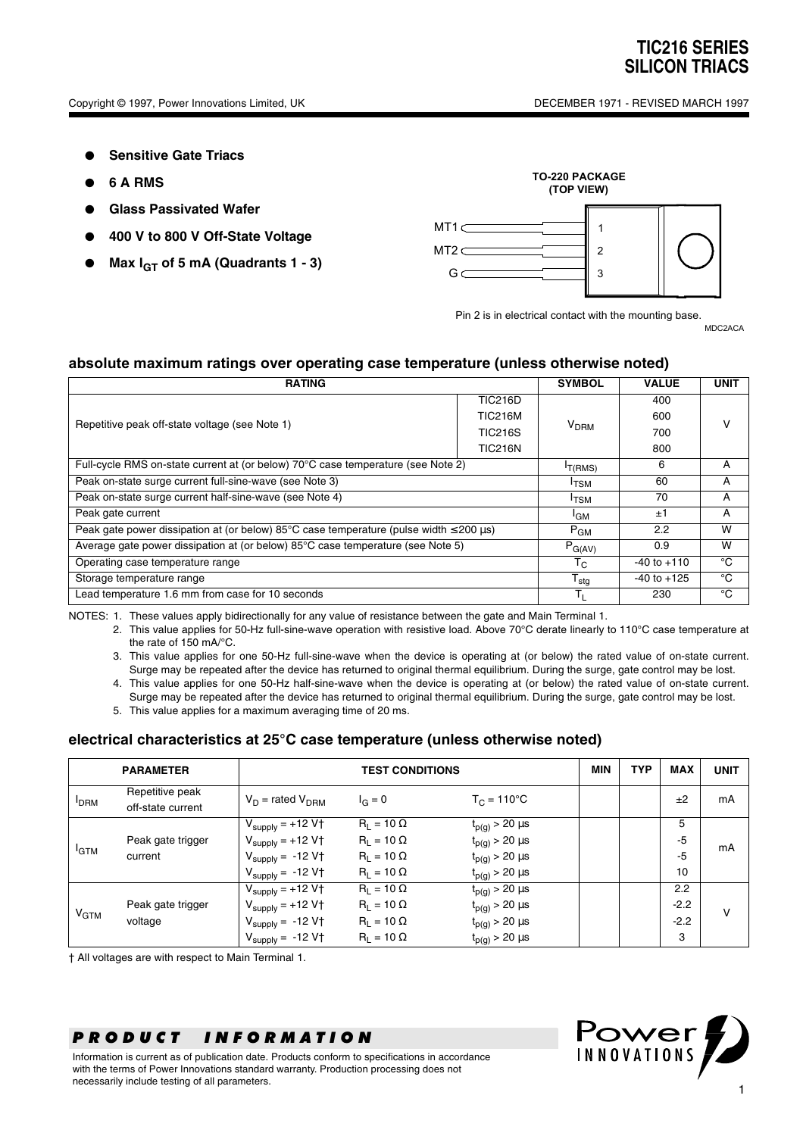- **Sensitive Gate Triacs**
- **6 A RMS**
- **Glass Passivated Wafer**
- **400 V to 800 V Off-State Voltage**
- **Max IGT of 5 mA (Quadrants 1 3)**



Pin 2 is in electrical contact with the mounting base.

MDC2ACA

### **absolute maximum ratings over operating case temperature (unless otherwise noted)**

| <b>RATING</b>                                                                                              |                           |                  | <b>VALUE</b>    | <b>UNIT</b> |  |
|------------------------------------------------------------------------------------------------------------|---------------------------|------------------|-----------------|-------------|--|
| Repetitive peak off-state voltage (see Note 1)                                                             | <b>TIC216D</b>            |                  | 400             |             |  |
|                                                                                                            | <b>TIC216M</b>            |                  | 600             | v           |  |
|                                                                                                            | <b>TIC216S</b>            | V <sub>DRM</sub> | 700             |             |  |
|                                                                                                            | <b>TIC216N</b>            |                  | 800             |             |  |
| Full-cycle RMS on-state current at (or below) 70°C case temperature (see Note 2)                           |                           |                  | 6               | A           |  |
| Peak on-state surge current full-sine-wave (see Note 3)                                                    |                           |                  | 60              | A           |  |
| Peak on-state surge current half-sine-wave (see Note 4)                                                    |                           |                  | 70              | A           |  |
| Peak gate current                                                                                          | <sup>I</sup> GM           | ±1               | A               |             |  |
| Peak gate power dissipation at (or below) $85^{\circ}$ C case temperature (pulse width $\leq$ 200 $\mu$ s) | $P_{GM}$                  | 2.2              | W               |             |  |
| Average gate power dissipation at (or below) 85°C case temperature (see Note 5)                            |                           |                  | 0.9             | W           |  |
| Operating case temperature range                                                                           |                           |                  | $-40$ to $+110$ | °C          |  |
| Storage temperature range                                                                                  | $\mathsf{T}_{\text{stg}}$ | $-40$ to $+125$  | °C              |             |  |
| Lead temperature 1.6 mm from case for 10 seconds                                                           |                           |                  | 230             | °C          |  |

NOTES: 1. These values apply bidirectionally for any value of resistance between the gate and Main Terminal 1.

2. This value applies for 50-Hz full-sine-wave operation with resistive load. Above 70°C derate linearly to 110°C case temperature at the rate of 150 mA/°C.

- 3. This value applies for one 50-Hz full-sine-wave when the device is operating at (or below) the rated value of on-state current. Surge may be repeated after the device has returned to original thermal equilibrium. During the surge, gate control may be lost.
- 4. This value applies for one 50-Hz half-sine-wave when the device is operating at (or below) the rated value of on-state current. Surge may be repeated after the device has returned to original thermal equilibrium. During the surge, gate control may be lost.
- 5. This value applies for a maximum averaging time of 20 ms.

#### **electrical characteristics at 25°C case temperature (unless otherwise noted)**

|              | <b>PARAMETER</b><br><b>TEST CONDITIONS</b> |                                        |                   | <b>MIN</b>              | <b>TYP</b> | <b>MAX</b> | <b>UNIT</b> |    |
|--------------|--------------------------------------------|----------------------------------------|-------------------|-------------------------|------------|------------|-------------|----|
| <b>I</b> DRM | Repetitive peak<br>off-state current       | $V_D$ = rated $V_{DBM}$                | $I_G = 0$         | $T_{C} = 110^{\circ}C$  |            |            | ±2          | mA |
| <b>I</b> GTM |                                            | $V_{\text{supply}} = +12 \overline{V}$ | $R_1 = 10 \Omega$ | $t_{p(g)}$ > 20 $\mu s$ |            |            | 5           | mA |
|              | Peak gate trigger                          | $V_{\text{supply}} = +12 V \uparrow$   | $R_1 = 10 \Omega$ | $t_{p(g)}$ > 20 $\mu$ s |            |            | $-5$        |    |
|              | current                                    | $V_{\text{supply}} = -12 V \uparrow$   | $R_1 = 10 \Omega$ | $t_{p(g)}$ > 20 $\mu$ s |            |            | $-5$        |    |
|              |                                            | $V_{\text{supply}} = -12 V \uparrow$   | $R_1 = 10 \Omega$ | $t_{p(g)}$ > 20 $\mu$ s |            |            | 10          |    |
| $V_{GTM}$    |                                            | $V_{\text{supply}} = +12 \overline{V}$ | $R_1 = 10 \Omega$ | $t_{p(g)} > 20 \mu s$   |            |            | 2.2         | v  |
|              | Peak gate trigger                          | $V_{\text{supply}} = +12 V \uparrow$   | $R_1 = 10 \Omega$ | $t_{p(g)}$ > 20 $\mu$ s |            |            | $-2.2$      |    |
|              | voltage                                    | $V_{\text{supply}} = -12 V \uparrow$   | $R_1 = 10 \Omega$ | $t_{p(g)}$ > 20 $\mu s$ |            |            | $-2.2$      |    |
|              |                                            | $V_{\text{supply}} = -12 V \uparrow$   | $R_1 = 10 \Omega$ | $t_{p(g)}$ > 20 $\mu$ s |            |            | 3           |    |

† All voltages are with respect to Main Terminal 1.

## *PRODUCT INFORMATION*

Information is current as of publication date. Products conform to specifications in accordance with the terms of Power Innovations standard warranty. Production processing does not necessarily include testing of all parameters.

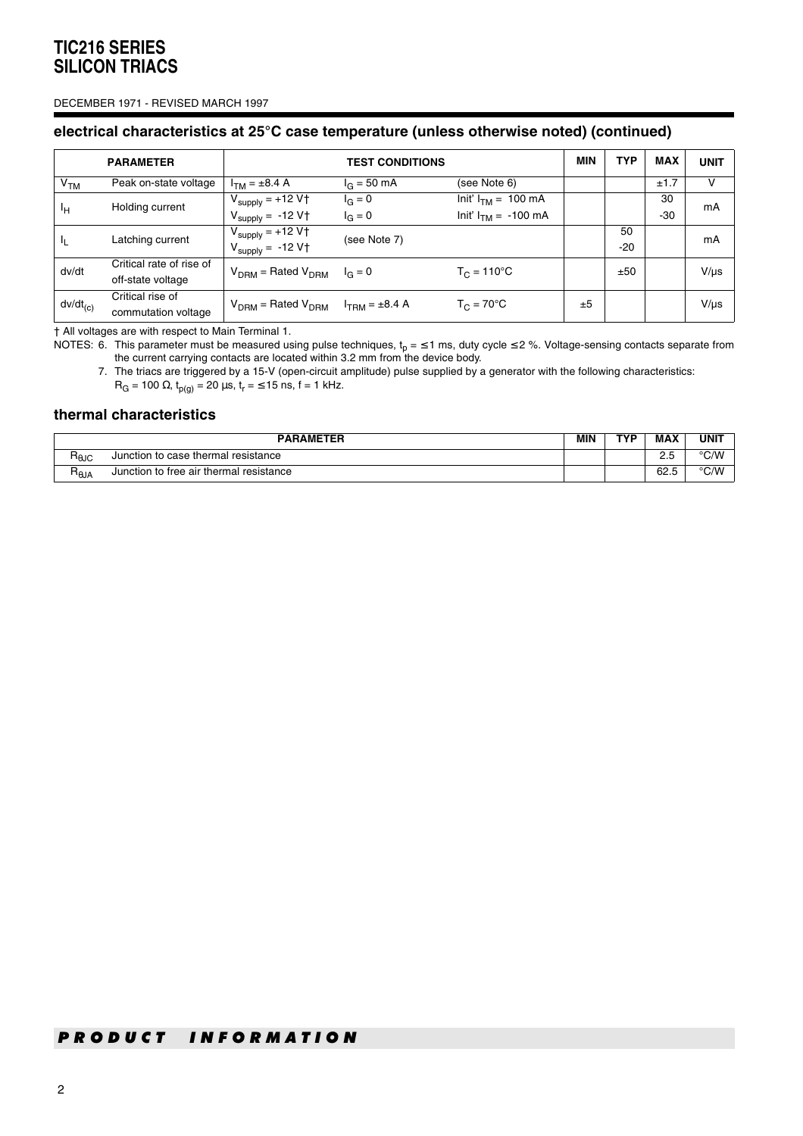#### DECEMBER 1971 - REVISED MARCH 1997

### **electrical characteristics at 25°C case temperature (unless otherwise noted) (continued)**

|                 | <b>PARAMETER</b>         | <b>TEST CONDITIONS</b>                         |                       |                          | MIN | <b>TYP</b> | <b>MAX</b> | <b>UNIT</b> |
|-----------------|--------------------------|------------------------------------------------|-----------------------|--------------------------|-----|------------|------------|-------------|
| V <sub>TM</sub> | Peak on-state voltage    | $I_{TM} = \pm 8.4 A$                           | $I_G = 50 \text{ mA}$ | (see Note 6)             |     |            | ±1.7       | v           |
| Īн              | Holding current          | $V_{\text{supply}} = +12 V \uparrow$           | $I_{G} = 0$           | Init' $I_{TM}$ = 100 mA  |     |            | 30         | mA          |
|                 |                          | $V_{\text{supply}} = -12 V \uparrow$           | $I_{G} = 0$           | Init' $I_{TM} = -100$ mA |     |            | -30        |             |
| Ч.              | Latching current         | $V_{\text{supply}} = +12 V \uparrow$           | (see Note 7)          |                          | 50  |            | mA         |             |
|                 |                          | $V_{\text{supply}} = -12 V \uparrow$           |                       |                          |     | $-20$      |            |             |
| dv/dt           | Critical rate of rise of | $V_{DBM}$ = Rated $V_{DBM}$ $I_G = 0$          |                       | $T_C = 110^{\circ}C$     |     | ±50        |            | $V/\mu s$   |
|                 | off-state voltage        |                                                |                       |                          |     |            |            |             |
| $dv/dt_{(c)}$   | Critical rise of         | $V_{DBM}$ = Rated $V_{DBM}$ $I_{TBM}$ = ±8.4 A |                       | $T_C = 70^{\circ}$ C     | ±5  |            |            | $V/\mu s$   |
|                 | commutation voltage      |                                                |                       |                          |     |            |            |             |

† All voltages are with respect to Main Terminal 1.

NOTES: 6. This parameter must be measured using pulse techniques,  $t_p = \leq 1$  ms, duty cycle  $\leq$  2 %. Voltage-sensing contacts separate from the current carrying contacts are located within 3.2 mm from the device body.

7. The triacs are triggered by a 15-V (open-circuit amplitude) pulse supplied by a generator with the following characteristics:

 $R_G$  = 100 Ω,  $t_{p(g)}$  = 20 μs,  $t_r$  = ≤ 15 ns, f = 1 kHz.

### **thermal characteristics**

| <b>PARAMETER</b>     |                                         |  | TVD | <b>MAX</b> | UNIT          |
|----------------------|-----------------------------------------|--|-----|------------|---------------|
| ⊓⊕ძ                  | Junction to case thermal resistance     |  |     | ے ۔        | $\degree$ C/W |
| ∍<br>$n_{\theta}$ JA | Junction to free air thermal resistance |  |     | 62.5       | °C/W          |

### *PRODUCT INFORMATION*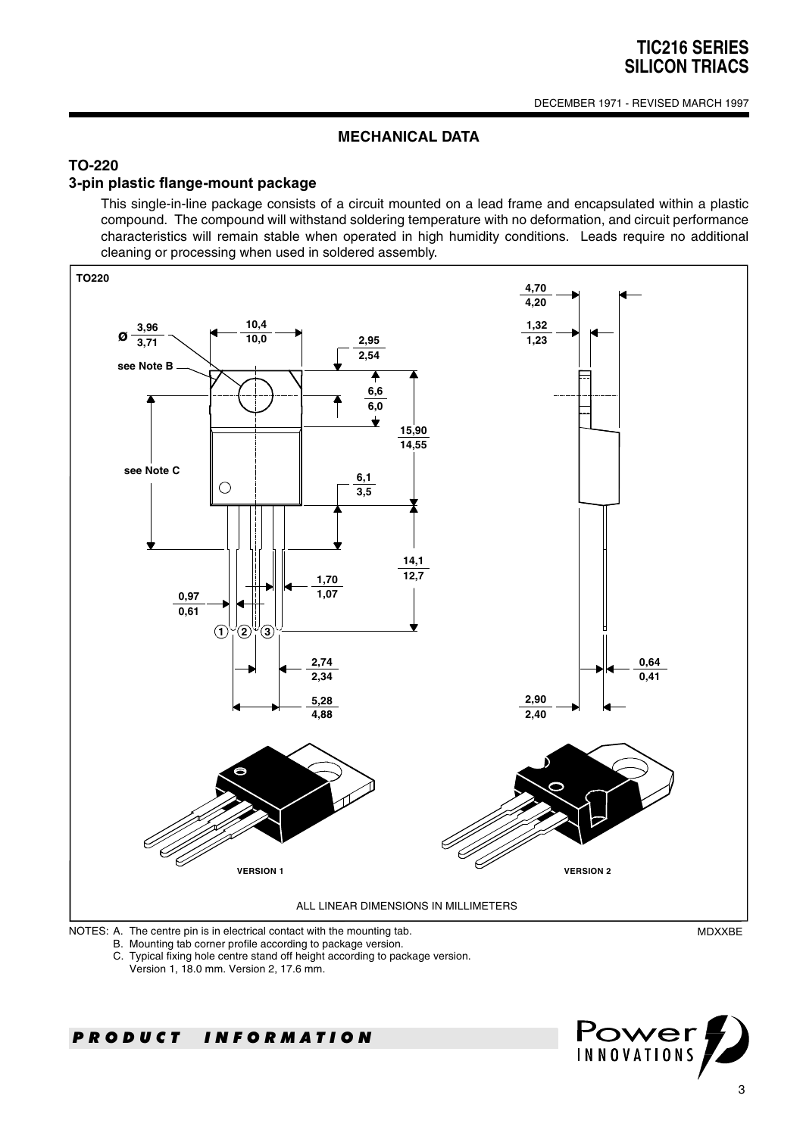### **MECHANICAL DATA**

## **TO-220**

### **3-pin plastic flange-mount package**

This single-in-line package consists of a circuit mounted on a lead frame and encapsulated within a plastic compound. The compound will withstand soldering temperature with no deformation, and circuit performance characteristics will remain stable when operated in high humidity conditions. Leads require no additional cleaning or processing when used in soldered assembly.



B. Mounting tab corner profile according to package version.

C. Typical fixing hole centre stand off height according to package version.

Version 1, 18.0 mm. Version 2, 17.6 mm.